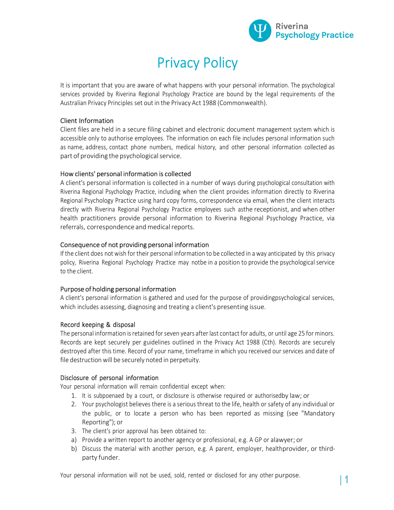

# Privacy Policy

It is important that you are aware of what happens with your personal information. The psychological services provided by Riverina Regional Psychology Practice are bound by the legal requirements of the Australian Privacy Principles set out in the Privacy Act 1988 (Commonwealth).

### Client Information

Client files are held in a secure filing cabinet and electronic document management system which is accessible only to authorise employees. The information on each file includes personal information such as name, address, contact phone numbers, medical history, and other personal information collected as part of providing the psychological service.

### How clients' personal information is collected

A client's personal information is collected in a number of ways during psychological consultation with Riverina Regional Psychology Practice, including when the client provides information directly to Riverina Regional Psychology Practice using hard copy forms, correspondence via email, when the client interacts directly with Riverina Regional Psychology Practice employees such asthe receptionist, and when other health practitioners provide personal information to Riverina Regional Psychology Practice, via referrals, correspondence and medical reports.

### Consequence of not providing personal information

If the client does not wish for their personal information to be collected in a way anticipated by this privacy policy, Riverina Regional Psychology Practice may notbe in a position to provide the psychological service to the client.

### Purpose of holding personal information

A client's personal information is gathered and used for the purpose of providing psychological services, which includes assessing, diagnosing and treating a client's presenting issue.

**Record keeping & disposal**<br>The personal information is retained for seven years after last contact for adults, or until age 25 for minors. Records are kept securely per guidelines outlined in the Privacy Act 1988 (Cth). Records are securely destroyed after this time. Record of your name, timeframe in which you received our services and date of file destruction will be securely noted in perpetuity.

Disclosure of personal information<br>Your personal information will remain confidential except when:

- 1. It is subpoenaed by a court, or disclosure is otherwise required or authorised by law; or
- 2. Your psychologist believes there is a serious threat to the life, health or safety of any individual or the public, or to locate a person who has been reported as missing (see "Mandatory Reporting"); or
- 3. The client's prior approval has been obtained to:
- a) Provide a written report to another agency or professional, e.g. A GP or alawyer; or
- b) Discuss the material with another person, e.g. A parent, employer, health provider, or thirdparty funder.

Your personal information will not be used, sold, rented or disclosed for any other purpose.